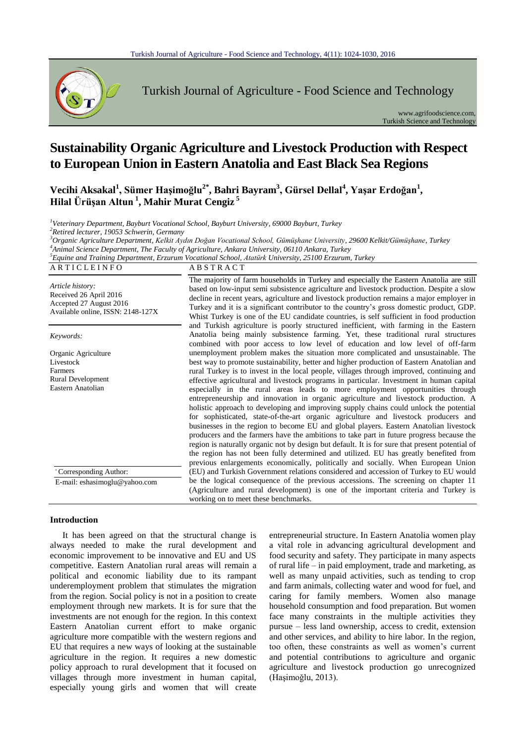

Turkish Journal of Agriculture - Food Science and Technology

www.agrifoodscience.com, Turkish Science and Technology

# **Sustainability Organic Agriculture and Livestock Production with Respect to European Union in Eastern Anatolia and East Black Sea Regions**

**Vecihi Aksakal<sup>1</sup> , Sümer Haşimoğlu2\* , Bahri Bayram<sup>3</sup> , Gürsel Dellal<sup>4</sup> , Yaşar Erdoğan<sup>1</sup> , Hilal Ürüşan Altun <sup>1</sup> , Mahir Murat Cengiz <sup>5</sup>**

 *Veterinary Department, Bayburt Vocational School, Bayburt University, 69000 Bayburt, Turkey Retired lecturer, 19053 Schwerin, Germany Organic Agriculture Department, Kelkit Aydın Doğan Vocational School, Gümüşhane University, 29600 Kelkit/Gümüşhane, Turkey Animal Science Department, The Faculty of Agriculture, Ankara University, 06110 Ankara, Turkey*

*5 Equine and Training Department, Erzurum Vocational School, Atatürk University, 25100 Erzurum, Turkey* A R T I C L E I N F O A B S T R A C T

| Article history:<br>Received 26 April 2016<br>Accepted 27 August 2016<br>Available online, ISSN: 2148-127X | The majority of farm households in Turkey and especially the Eastern Anatolia are still<br>based on low-input semi subsistence agriculture and livestock production. Despite a slow<br>decline in recent years, agriculture and livestock production remains a major employer in<br>Turkey and it is a significant contributor to the country's gross domestic product, GDP.<br>Whist Turkey is one of the EU candidate countries, is self sufficient in food production<br>and Turkish agriculture is poorly structured inefficient, with farming in the Eastern<br>Anatolia being mainly subsistence farming. Yet, these traditional rural structures<br>combined with poor access to low level of education and low level of off-farm<br>unemployment problem makes the situation more complicated and unsustainable. The<br>best way to promote sustainability, better and higher production of Eastern Anatolian and<br>rural Turkey is to invest in the local people, villages through improved, continuing and<br>effective agricultural and livestock programs in particular. Investment in human capital<br>especially in the rural areas leads to more employment opportunities through<br>entrepreneurship and innovation in organic agriculture and livestock production. A<br>holistic approach to developing and improving supply chains could unlock the potential<br>for sophisticated, state-of-the-art organic agriculture and livestock producers and<br>businesses in the region to become EU and global players. Eastern Anatolian livestock<br>producers and the farmers have the ambitions to take part in future progress because the<br>region is naturally organic not by design but default. It is for sure that present potential of<br>the region has not been fully determined and utilized. EU has greatly benefited from<br>previous enlargements economically, politically and socially. When European Union |
|------------------------------------------------------------------------------------------------------------|-----------------------------------------------------------------------------------------------------------------------------------------------------------------------------------------------------------------------------------------------------------------------------------------------------------------------------------------------------------------------------------------------------------------------------------------------------------------------------------------------------------------------------------------------------------------------------------------------------------------------------------------------------------------------------------------------------------------------------------------------------------------------------------------------------------------------------------------------------------------------------------------------------------------------------------------------------------------------------------------------------------------------------------------------------------------------------------------------------------------------------------------------------------------------------------------------------------------------------------------------------------------------------------------------------------------------------------------------------------------------------------------------------------------------------------------------------------------------------------------------------------------------------------------------------------------------------------------------------------------------------------------------------------------------------------------------------------------------------------------------------------------------------------------------------------------------------------------------------------------------------------------------------------------------------------------------|
| Keywords:                                                                                                  |                                                                                                                                                                                                                                                                                                                                                                                                                                                                                                                                                                                                                                                                                                                                                                                                                                                                                                                                                                                                                                                                                                                                                                                                                                                                                                                                                                                                                                                                                                                                                                                                                                                                                                                                                                                                                                                                                                                                               |
| Organic Agriculture<br>Livestock<br>Farmers<br><b>Rural Development</b><br>Eastern Anatolian               |                                                                                                                                                                                                                                                                                                                                                                                                                                                                                                                                                                                                                                                                                                                                                                                                                                                                                                                                                                                                                                                                                                                                                                                                                                                                                                                                                                                                                                                                                                                                                                                                                                                                                                                                                                                                                                                                                                                                               |
| Corresponding Author:                                                                                      | (EU) and Turkish Government relations considered and accession of Turkey to EU would                                                                                                                                                                                                                                                                                                                                                                                                                                                                                                                                                                                                                                                                                                                                                                                                                                                                                                                                                                                                                                                                                                                                                                                                                                                                                                                                                                                                                                                                                                                                                                                                                                                                                                                                                                                                                                                          |
| E-mail: eshasimoglu@yahoo.com                                                                              | be the logical consequence of the previous accessions. The screening on chapter 11<br>(Agriculture and rural development) is one of the important criteria and Turkey is<br>working on to meet these benchmarks.                                                                                                                                                                                                                                                                                                                                                                                                                                                                                                                                                                                                                                                                                                                                                                                                                                                                                                                                                                                                                                                                                                                                                                                                                                                                                                                                                                                                                                                                                                                                                                                                                                                                                                                              |

#### **Introduction**

It has been agreed on that the structural change is always needed to make the rural development and economic improvement to be innovative and EU and US competitive. Eastern Anatolian rural areas will remain a political and economic liability due to its rampant underemployment problem that stimulates the migration from the region. Social policy is not in a position to create employment through new markets. It is for sure that the investments are not enough for the region. In this context Eastern Anatolian current effort to make organic agriculture more compatible with the western regions and EU that requires a new ways of looking at the sustainable agriculture in the region. It requires a new domestic policy approach to rural development that it focused on villages through more investment in human capital, especially young girls and women that will create

entrepreneurial structure. In Eastern Anatolia women play a vital role in advancing agricultural development and food security and safety. They participate in many aspects of rural life – in paid employment, trade and marketing, as well as many unpaid activities, such as tending to crop and farm animals, collecting water and wood for fuel, and caring for family members. Women also manage household consumption and food preparation. But women face many constraints in the multiple activities they pursue – less land ownership, access to credit, extension and other services, and ability to hire labor. In the region, too often, these constraints as well as women's current and potential contributions to agriculture and organic agriculture and livestock production go unrecognized (Haşimoǧlu, 2013).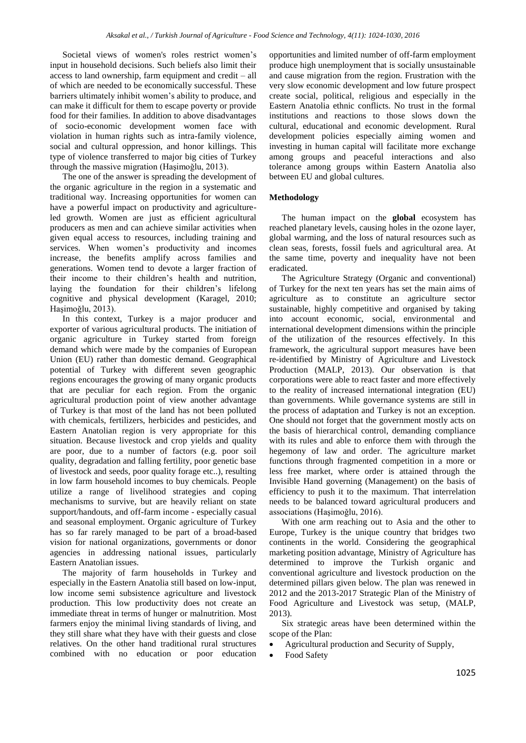Societal views of women's roles restrict women's input in household decisions. Such beliefs also limit their access to land ownership, farm equipment and credit – all of which are needed to be economically successful. These barriers ultimately inhibit women's ability to produce, and can make it difficult for them to escape poverty or provide food for their families. In addition to above disadvantages of socio-economic development women face with violation in human rights such as intra-family violence, social and cultural oppression, and honor killings. This type of violence transferred to major big cities of Turkey through the massive migration (Haşimoğlu, 2013).

The one of the answer is spreading the development of the organic agriculture in the region in a systematic and traditional way. Increasing opportunities for women can have a powerful impact on productivity and agricultureled growth. Women are just as efficient agricultural producers as men and can achieve similar activities when given equal access to resources, including training and services. When women's productivity and incomes increase, the benefits amplify across families and generations. Women tend to devote a larger fraction of their income to their children's health and nutrition, laying the foundation for their children's lifelong cognitive and physical development (Karagel, 2010; Hasimoğlu, 2013).

In this context, Turkey is a major producer and exporter of various agricultural products. The initiation of organic agriculture in Turkey started from foreign demand which were made by the companies of European Union (EU) rather than domestic demand. Geographical potential of Turkey with different seven geographic regions encourages the growing of many organic products that are peculiar for each region. From the organic agricultural production point of view another advantage of Turkey is that most of the land has not been polluted with chemicals, fertilizers, herbicides and pesticides, and Eastern Anatolian region is very appropriate for this situation. Because livestock and crop yields and quality are poor, due to a number of factors (e.g. poor soil quality, degradation and falling fertility, poor genetic base of livestock and seeds, poor quality forage etc..), resulting in low farm household incomes to buy chemicals. People utilize a range of livelihood strategies and coping mechanisms to survive, but are heavily reliant on state support/handouts, and off-farm income - especially casual and seasonal employment. Organic agriculture of Turkey has so far rarely managed to be part of a broad-based vision for national organizations, governments or donor agencies in addressing national issues, particularly Eastern Anatolian issues.

The majority of farm households in Turkey and especially in the Eastern Anatolia still based on low-input, low income semi subsistence agriculture and livestock production. This low productivity does not create an immediate threat in terms of hunger or malnutrition. Most farmers enjoy the minimal living standards of living, and they still share what they have with their guests and close relatives. On the other hand traditional rural structures combined with no education or poor education opportunities and limited number of off-farm employment produce high unemployment that is socially unsustainable and cause migration from the region. Frustration with the very slow economic development and low future prospect create social, political, religious and especially in the Eastern Anatolia ethnic conflicts. No trust in the formal institutions and reactions to those slows down the cultural, educational and economic development. Rural development policies especially aiming women and investing in human capital will facilitate more exchange among groups and peaceful interactions and also tolerance among groups within Eastern Anatolia also between EU and global cultures.

#### **Methodology**

The human impact on the **global** ecosystem has reached planetary levels, causing holes in the ozone layer, global warming, and the loss of natural resources such as clean seas, forests, fossil fuels and agricultural area. At the same time, poverty and inequality have not been eradicated.

The Agriculture Strategy (Organic and conventional) of Turkey for the next ten years has set the main aims of agriculture as to constitute an agriculture sector sustainable, highly competitive and organised by taking into account economic, social, environmental and international development dimensions within the principle of the utilization of the resources effectively. In this framework, the agricultural support measures have been re-identified by Ministry of Agriculture and Livestock Production (MALP, 2013). Our observation is that corporations were able to react faster and more effectively to the reality of increased international integration (EU) than governments. While governance systems are still in the process of adaptation and Turkey is not an exception. One should not forget that the government mostly acts on the basis of hierarchical control, demanding compliance with its rules and able to enforce them with through the hegemony of law and order. The agriculture market functions through fragmented competition in a more or less free market, where order is attained through the Invisible Hand governing (Management) on the basis of efficiency to push it to the maximum. That interrelation needs to be balanced toward agricultural producers and associations (Haşimoǧlu, 2016).

With one arm reaching out to Asia and the other to Europe, Turkey is the unique country that bridges two continents in the world. Considering the geographical marketing position advantage, Ministry of Agriculture has determined to improve the Turkish organic and conventional agriculture and livestock production on the determined pillars given below. The plan was renewed in 2012 and the 2013-2017 Strategic Plan of the Ministry of Food Agriculture and Livestock was setup, (MALP, 2013).

Six strategic areas have been determined within the scope of the Plan:

- Agricultural production and Security of Supply,
- Food Safety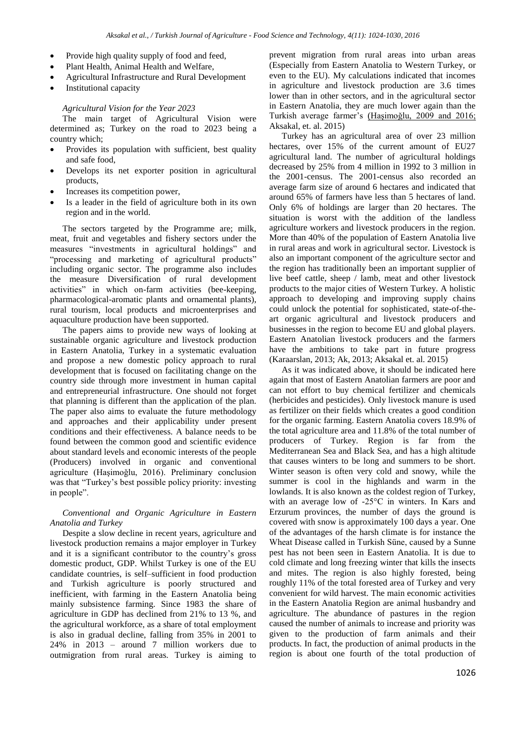- Provide high quality supply of food and feed,
- Plant Health, Animal Health and Welfare,
- Agricultural Infrastructure and Rural Development
- Institutional capacity

#### *Agricultural Vision for the Year 2023*

The main target of Agricultural Vision were determined as; Turkey on the road to 2023 being a country which;

- Provides its population with sufficient, best quality and safe food,
- Develops its net exporter position in agricultural products,
- Increases its competition power,
- Is a leader in the field of agriculture both in its own region and in the world.

The sectors targeted by the Programme are; milk, meat, fruit and vegetables and fishery sectors under the measures "investments in agricultural holdings" and "processing and marketing of agricultural products" including organic sector. The programme also includes the measure Diversification of rural development activities" in which on-farm activities (bee-keeping, pharmacological-aromatic plants and ornamental plants), rural tourism, local products and microenterprises and aquaculture production have been supported.

The papers aims to provide new ways of looking at sustainable organic agriculture and livestock production in Eastern Anatolia, Turkey in a systematic evaluation and propose a new domestic policy approach to rural development that is focused on facilitating change on the country side through more investment in human capital and entrepreneurial infrastructure. One should not forget that planning is different than the application of the plan. The paper also aims to evaluate the future methodology and approaches and their applicability under present conditions and their effectiveness. A balance needs to be found between the common good and scientific evidence about standard levels and economic interests of the people (Producers) involved in organic and conventional agriculture (Haşimoǧlu, 2016). Preliminary conclusion was that "Turkey's best possible policy priority: investing in people".

## *Conventional and Organic Agriculture in Eastern Anatolia and Turkey*

Despite a slow decline in recent years, agriculture and livestock production remains a major employer in Turkey and it is a significant contributor to the country's gross domestic product, GDP. Whilst Turkey is one of the EU candidate countries, is self–sufficient in food production and Turkish agriculture is poorly structured and inefficient, with farming in the Eastern Anatolia being mainly subsistence farming. Since 1983 the share of agriculture in GDP has declined from 21% to 13 %, and the agricultural workforce, as a share of total employment is also in gradual decline, falling from 35% in 2001 to 24% in 2013 – around 7 million workers due to outmigration from rural areas. Turkey is aiming to prevent migration from rural areas into urban areas (Especially from Eastern Anatolia to Western Turkey, or even to the EU). My calculations indicated that incomes in agriculture and livestock production are 3.6 times lower than in other sectors, and in the agricultural sector in Eastern Anatolia, they are much lower again than the Turkish average farmer's (Haşimoğlu, 2009 and 2016; Aksakal, et. al. 2015)

Turkey has an agricultural area of over 23 million hectares, over 15% of the current amount of EU27 agricultural land. The number of agricultural holdings decreased by 25% from 4 million in 1992 to 3 million in the 2001-census. The 2001-census also recorded an average farm size of around 6 hectares and indicated that around 65% of farmers have less than 5 hectares of land. Only 6% of holdings are larger than 20 hectares. The situation is worst with the addition of the landless agriculture workers and livestock producers in the region. More than 40% of the population of Eastern Anatolia live in rural areas and work in agricultural sector. Livestock is also an important component of the agriculture sector and the region has traditionally been an important supplier of live beef cattle, sheep / lamb, meat and other livestock products to the major cities of Western Turkey. A holistic approach to developing and improving supply chains could unlock the potential for sophisticated, state-of-theart organic agricultural and livestock producers and businesses in the region to become EU and global players. Eastern Anatolian livestock producers and the farmers have the ambitions to take part in future progress (Karaarslan, 2013; Ak, 2013; Aksakal et. al. 2015)

As it was indicated above, it should be indicated here again that most of Eastern Anatolian farmers are poor and can not effort to buy chemical fertilizer and chemicals (herbicides and pesticides). Only livestock manure is used as fertilizer on their fields which creates a good condition for the organic farming. Eastern Anatolia covers 18.9% of the total agriculture area and 11.8% of the total number of producers of Turkey. Region is far from the Mediterranean Sea and Black Sea, and has a high altitude that causes winters to be long and summers to be short. Winter season is often very cold and snowy, while the summer is cool in the highlands and warm in the lowlands. It is also known as the coldest region of Turkey, with an average low of -25°C in winters. In Kars and Erzurum provinces, the number of days the ground is covered with snow is approximately 100 days a year. One of the advantages of the harsh climate is for instance the Wheat Disease called in Turkish Süne, caused by a Sunne pest has not been seen in Eastern Anatolia. It is due to cold climate and long freezing winter that kills the insects and mites. The region is also highly forested, being roughly 11% of the total forested area of Turkey and very convenient for wild harvest. The main economic activities in the Eastern Anatolia Region are animal husbandry and agriculture. The abundance of pastures in the region caused the number of animals to increase and priority was given to the production of farm animals and their products. In fact, the production of animal products in the region is about one fourth of the total production of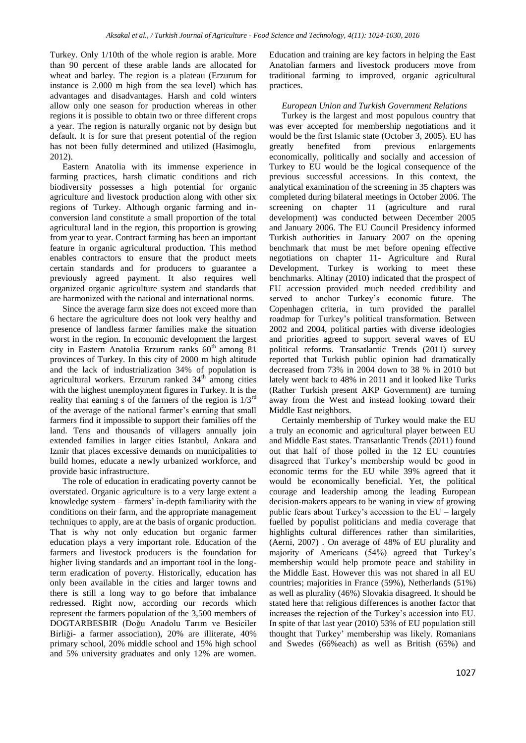Turkey. Only 1/10th of the whole region is arable. More than 90 percent of these arable lands are allocated for wheat and barley. The region is a plateau (Erzurum for instance is 2.000 m high from the sea level) which has advantages and disadvantages. Harsh and cold winters allow only one season for production whereas in other regions it is possible to obtain two or three different crops a year. The region is naturally organic not by design but default. It is for sure that present potential of the region has not been fully determined and utilized (Hasimoglu, 2012).

Eastern Anatolia with its immense experience in farming practices, harsh climatic conditions and rich biodiversity possesses a high potential for organic agriculture and livestock production along with other six regions of Turkey. Although organic farming and inconversion land constitute a small proportion of the total agricultural land in the region, this proportion is growing from year to year. Contract farming has been an important feature in organic agricultural production. This method enables contractors to ensure that the product meets certain standards and for producers to guarantee a previously agreed payment. It also requires well organized organic agriculture system and standards that are harmonized with the national and international norms.

Since the average farm size does not exceed more than 6 hectare the agriculture does not look very healthy and presence of landless farmer families make the situation worst in the region. In economic development the largest city in Eastern Anatolia Erzurum ranks  $60<sup>th</sup>$  among 81 provinces of Turkey. In this city of 2000 m high altitude and the lack of industrialization 34% of population is agricultural workers. Erzurum ranked  $34<sup>th</sup>$  among cities with the highest unemployment figures in Turkey. It is the reality that earning s of the farmers of the region is  $1/3^{rd}$ of the average of the national farmer's earning that small farmers find it impossible to support their families off the land. Tens and thousands of villagers annually join extended families in larger cities Istanbul, Ankara and Izmir that places excessive demands on municipalities to build homes, educate a newly urbanized workforce, and provide basic infrastructure.

The role of education in eradicating poverty cannot be overstated. Organic agriculture is to a very large extent a knowledge system – farmers' in-depth familiarity with the conditions on their farm, and the appropriate management techniques to apply, are at the basis of organic production. That is why not only education but organic farmer education plays a very important role. Education of the farmers and livestock producers is the foundation for higher living standards and an important tool in the longterm eradication of poverty. Historically, education has only been available in the cities and larger towns and there is still a long way to go before that imbalance redressed. Right now, according our records which represent the farmers population of the 3,500 members of DOGTARBESBIR (Doǧu Anadolu Tarım ve Besiciler Birliği- a farmer association), 20% are illiterate, 40% primary school, 20% middle school and 15% high school and 5% university graduates and only 12% are women.

Education and training are key factors in helping the East Anatolian farmers and livestock producers move from traditional farming to improved, organic agricultural practices.

# *European Union and Turkish Government Relations*

Turkey is the largest and most populous country that was ever accepted for membership negotiations and it would be the first Islamic state (October 3, 2005). EU has greatly benefited from previous enlargements economically, politically and socially and accession of Turkey to EU would be the logical consequence of the previous successful accessions. In this context, the analytical examination of the screening in 35 chapters was completed during bilateral meetings in October 2006. The screening on chapter 11 (agriculture and rural development) was conducted between December 2005 and January 2006. The EU Council Presidency informed Turkish authorities in January 2007 on the opening benchmark that must be met before opening effective negotiations on chapter 11- Agriculture and Rural Development. Turkey is working to meet these benchmarks. Altinay (2010) indicated that the prospect of EU accession provided much needed credibility and served to anchor Turkey's economic future. The Copenhagen criteria, in turn provided the parallel roadmap for Turkey's political transformation. Between 2002 and 2004, political parties with diverse ideologies and priorities agreed to support several waves of EU political reforms. Transatlantic Trends (2011) survey reported that Turkish public opinion had dramatically decreased from 73% in 2004 down to 38 % in 2010 but lately went back to 48% in 2011 and it looked like Turks (Rather Turkish present AKP Government) are turning away from the West and instead looking toward their Middle East neighbors.

Certainly membership of Turkey would make the EU a truly an economic and agricultural player between EU and Middle East states. Transatlantic Trends (2011) found out that half of those polled in the 12 EU countries disagreed that Turkey's membership would be good in economic terms for the EU while 39% agreed that it would be economically beneficial. Yet, the political courage and leadership among the leading European decision-makers appears to be waning in view of growing public fears about Turkey's accession to the EU – largely fuelled by populist politicians and media coverage that highlights cultural differences rather than similarities, (Aerni, 2007) . On average of 48% of EU plurality and majority of Americans (54%) agreed that Turkey's membership would help promote peace and stability in the Middle East. However this was not shared in all EU countries; majorities in France (59%), Netherlands (51%) as well as plurality (46%) Slovakia disagreed. It should be stated here that religious differences is another factor that increases the rejection of the Turkey's accession into EU. In spite of that last year (2010) 53% of EU population still thought that Turkey' membership was likely. Romanians and Swedes (66%each) as well as British (65%) and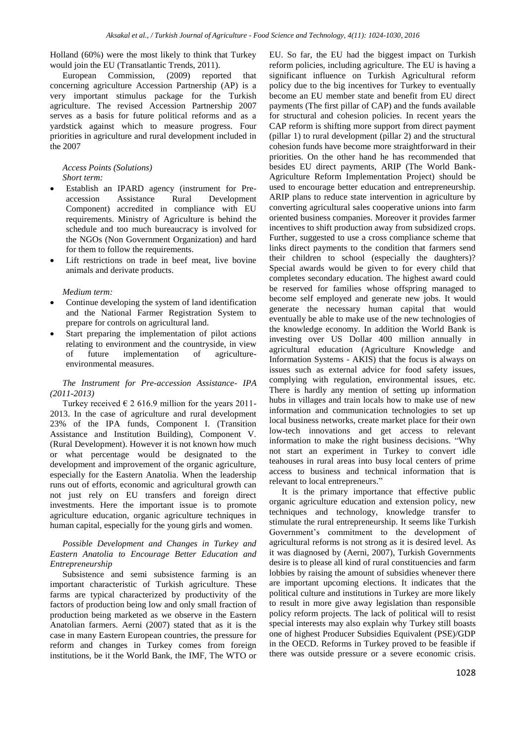Holland (60%) were the most likely to think that Turkey would join the EU (Transatlantic Trends, 2011).

European Commission, (2009) reported that concerning agriculture Accession Partnership (AP) is a very important stimulus package for the Turkish agriculture. The revised Accession Partnership 2007 serves as a basis for future political reforms and as a yardstick against which to measure progress. Four priorities in agriculture and rural development included in the 2007

#### *Access Points (Solutions) Short term:*

- Establish an IPARD agency (instrument for Preaccession Assistance Rural Development Component) accredited in compliance with EU requirements. Ministry of Agriculture is behind the schedule and too much bureaucracy is involved for the NGOs (Non Government Organization) and hard for them to follow the requirements.
- Lift restrictions on trade in beef meat, live bovine animals and derivate products.

#### *Medium term:*

- Continue developing the system of land identification and the National Farmer Registration System to prepare for controls on agricultural land.
- Start preparing the implementation of pilot actions relating to environment and the countryside, in view of future implementation of agricultureenvironmental measures.

#### *The Instrument for Pre-accession Assistance- IPA (2011-2013)*

Turkey received  $\epsilon$  2 616.9 million for the years 2011-2013. In the case of agriculture and rural development 23% of the IPA funds, Component I. (Transition Assistance and Institution Building), Component V. (Rural Development). However it is not known how much or what percentage would be designated to the development and improvement of the organic agriculture, especially for the Eastern Anatolia. When the leadership runs out of efforts, economic and agricultural growth can not just rely on EU transfers and foreign direct investments. Here the important issue is to promote agriculture education, organic agriculture techniques in human capital, especially for the young girls and women.

# *Possible Development and Changes in Turkey and Eastern Anatolia to Encourage Better Education and Entrepreneurship*

Subsistence and semi subsistence farming is an important characteristic of Turkish agriculture. These farms are typical characterized by productivity of the factors of production being low and only small fraction of production being marketed as we observe in the Eastern Anatolian farmers. Aerni (2007) stated that as it is the case in many Eastern European countries, the pressure for reform and changes in Turkey comes from foreign institutions, be it the World Bank, the IMF, The WTO or EU. So far, the EU had the biggest impact on Turkish reform policies, including agriculture. The EU is having a significant influence on Turkish Agricultural reform policy due to the big incentives for Turkey to eventually become an EU member state and benefit from EU direct payments (The first pillar of CAP) and the funds available for structural and cohesion policies. In recent years the CAP reform is shifting more support from direct payment (pillar 1) to rural development (pillar 2) and the structural cohesion funds have become more straightforward in their priorities. On the other hand he has recommended that besides EU direct payments, ARIP (The World Bank-Agriculture Reform Implementation Project) should be used to encourage better education and entrepreneurship. ARIP plans to reduce state intervention in agriculture by converting agricultural sales cooperative unions into farm oriented business companies. Moreover it provides farmer incentives to shift production away from subsidized crops. Further, suggested to use a cross compliance scheme that links direct payments to the condition that farmers send their children to school (especially the daughters)? Special awards would be given to for every child that completes secondary education. The highest award could be reserved for families whose offspring managed to become self employed and generate new jobs. It would generate the necessary human capital that would eventually be able to make use of the new technologies of the knowledge economy. In addition the World Bank is investing over US Dollar 400 million annually in agricultural education (Agriculture Knowledge and Information Systems - AKIS) that the focus is always on issues such as external advice for food safety issues, complying with regulation, environmental issues, etc. There is hardly any mention of setting up information hubs in villages and train locals how to make use of new information and communication technologies to set up local business networks, create market place for their own low-tech innovations and get access to relevant information to make the right business decisions. "Why not start an experiment in Turkey to convert idle teahouses in rural areas into busy local centers of prime access to business and technical information that is relevant to local entrepreneurs."

It is the primary importance that effective public organic agriculture education and extension policy, new techniques and technology, knowledge transfer to stimulate the rural entrepreneurship. It seems like Turkish Government's commitment to the development of agricultural reforms is not strong as it is desired level. As it was diagnosed by (Aerni, 2007), Turkish Governments desire is to please all kind of rural constituencies and farm lobbies by raising the amount of subsidies whenever there are important upcoming elections. It indicates that the political culture and institutions in Turkey are more likely to result in more give away legislation than responsible policy reform projects. The lack of political will to resist special interests may also explain why Turkey still boasts one of highest Producer Subsidies Equivalent (PSE)/GDP in the OECD. Reforms in Turkey proved to be feasible if there was outside pressure or a severe economic crisis.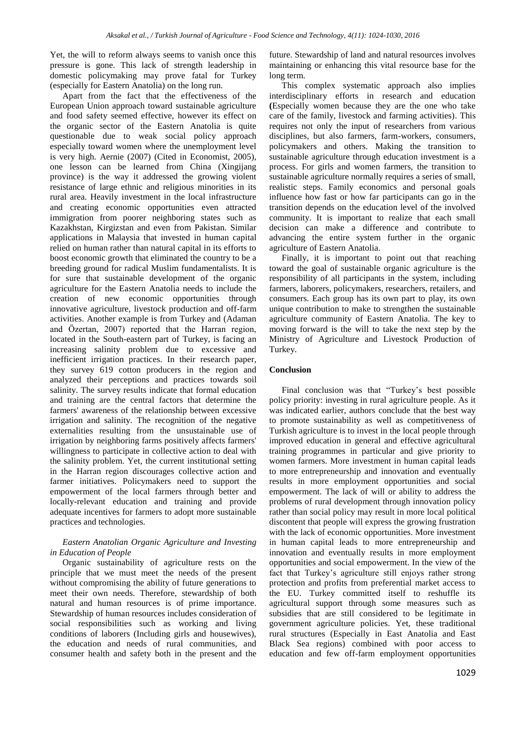Yet, the will to reform always seems to vanish once this pressure is gone. This lack of strength leadership in domestic policymaking may prove fatal for Turkey (especially for Eastern Anatolia) on the long run.

Apart from the fact that the effectiveness of the European Union approach toward sustainable agriculture and food safety seemed effective, however its effect on the organic sector of the Eastern Anatolia is quite questionable due to weak social policy approach especially toward women where the unemployment level is very high. Aernie (2007) (Cited in Economist, 2005), one lesson can be learned from China (Xingijang province) is the way it addressed the growing violent resistance of large ethnic and religious minorities in its rural area. Heavily investment in the local infrastructure and creating economic opportunities even attracted immigration from poorer neighboring states such as Kazakhstan, Kirgizstan and even from Pakistan. Similar applications in Malaysia that invested in human capital relied on human rather than natural capital in its efforts to boost economic growth that eliminated the country to be a breeding ground for radical Muslim fundamentalists. It is for sure that sustainable development of the organic agriculture for the Eastern Anatolia needs to include the creation of new economic opportunities through innovative agriculture, livestock production and off-farm activities. Another example is from Turkey and (Adaman and Özertan, 2007) reported that the Harran region, located in the South-eastern part of Turkey, is facing an increasing salinity problem due to excessive and inefficient irrigation practices. In their research paper, they survey 619 cotton producers in the region and analyzed their perceptions and practices towards soil salinity. The survey results indicate that formal education and training are the central factors that determine the farmers' awareness of the relationship between excessive irrigation and salinity. The recognition of the negative externalities resulting from the unsustainable use of irrigation by neighboring farms positively affects farmers' willingness to participate in collective action to deal with the salinity problem. Yet, the current institutional setting in the Harran region discourages collective action and farmer initiatives. Policymakers need to support the empowerment of the local farmers through better and locally-relevant education and training and provide adequate incentives for farmers to adopt more sustainable practices and technologies.

## *Eastern Anatolian Organic Agriculture and Investing in Education of People*

Organic sustainability of agriculture rests on the principle that we must meet the needs of the present without compromising the ability of future generations to meet their own needs. Therefore, stewardship of both natural and human resources is of prime importance. Stewardship of human resources includes consideration of social responsibilities such as working and living conditions of laborers (Including girls and housewives), the education and needs of rural communities, and consumer health and safety both in the present and the future. Stewardship of land and natural resources involves maintaining or enhancing this vital resource base for the long term.

This complex systematic approach also implies interdisciplinary efforts in research and education **(**Especially women because they are the one who take care of the family, livestock and farming activities). This requires not only the input of researchers from various disciplines, but also farmers, farm-workers, consumers, policymakers and others. Making the transition to sustainable agriculture through education investment is a process. For girls and women farmers, the transition to sustainable agriculture normally requires a series of small, realistic steps. Family economics and personal goals influence how fast or how far participants can go in the transition depends on the education level of the involved community. It is important to realize that each small decision can make a difference and contribute to advancing the entire system further in the organic agriculture of Eastern Anatolia.

Finally, it is important to point out that reaching toward the goal of sustainable organic agriculture is the responsibility of all participants in the system, including farmers, laborers, policymakers, researchers, retailers, and consumers. Each group has its own part to play, its own unique contribution to make to strengthen the sustainable agriculture community of Eastern Anatolia. The key to moving forward is the will to take the next step by the Ministry of Agriculture and Livestock Production of Turkey.

#### **Conclusion**

Final conclusion was that "Turkey's best possible policy priority: investing in rural agriculture people. As it was indicated earlier, authors conclude that the best way to promote sustainability as well as competitiveness of Turkish agriculture is to invest in the local people through improved education in general and effective agricultural training programmes in particular and give priority to women farmers. More investment in human capital leads to more entrepreneurship and innovation and eventually results in more employment opportunities and social empowerment. The lack of will or ability to address the problems of rural development through innovation policy rather than social policy may result in more local political discontent that people will express the growing frustration with the lack of economic opportunities. More investment in human capital leads to more entrepreneurship and innovation and eventually results in more employment opportunities and social empowerment. In the view of the fact that Turkey's agriculture still enjoys rather strong protection and profits from preferential market access to the EU. Turkey committed itself to reshuffle its agricultural support through some measures such as subsidies that are still considered to be legitimate in government agriculture policies. Yet, these traditional rural structures (Especially in East Anatolia and East Black Sea regions) combined with poor access to education and few off-farm employment opportunities